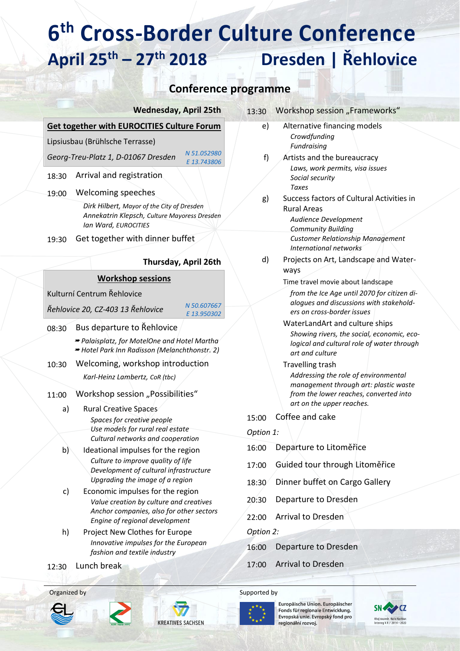## **6 th Cross-Border Culture Conference April 25th – 27th 2018 Dresden | Řehlovice**

### **Conference programme**

| <b>Wednesday, April 25th</b> |  |
|------------------------------|--|
|------------------------------|--|

#### **Get together with EUROCITIES Culture Forum**

Lipsiusbau (Brühlsche Terrasse)

*Georg-Treu-Platz 1, D-01067 Dresden [N 51.052980](https://www.google.de/maps/place/51%C2%B003) [E 13.743806](https://www.google.de/maps/place/51%C2%B003)*

18:30 Arrival and registration

19:00 Welcoming speeches

*Dirk Hilbert, Mayor of the City of Dresden Annekatrin Klepsch, Culture Mayoress Dresden Ian Ward, EUROCITIES*

19:30 Get together with dinner buffet

### **Thursday, April 26th**

#### **Workshop sessions**

Kulturní Centrum Řehlovice

*Řehlovice 20, CZ-403 13 Řehlovice [N 50.607667](https://www.google.de/maps/place/50%C2%B036)* 

*[E 13.950302](https://www.google.de/maps/place/50%C2%B036)*

- 08:30 Bus departure to Řehlovice *Palaisplatz, for MotelOne and Hotel Martha Hotel Park Inn Radisson (Melanchthonstr. 2)* 10:30 Welcoming, workshop introduction *Karl-Heinz Lambertz, CoR (tbc)* 11:00 Workshop session ..Possibilities" a) Rural Creative Spaces *Spaces for creative people Use models for rural real estate Cultural networks and cooperation* b) Ideational impulses for the region *Culture to improve quality of life Development of cultural infrastructure*
	- *Upgrading the image of a region* c) Economic impulses for the region *Value creation by culture and creatives Anchor companies, also for other sectors Engine of regional development*
	- h) Project New Clothes for Europe *Innovative impulses for the European fashion and textile industry*

12:30 Lunch break







#### Organized by Supported by Supported by



Europäische Union. Europäischer Fonds für regionale Entwicklung. Evropská unie. Evropský fond pro regionální rozvoj.



| e) | Alternative financing models<br>Crowdfunding<br>Fundraising                                                                                      |
|----|--------------------------------------------------------------------------------------------------------------------------------------------------|
| f) | Artists and the bureaucracy<br>Laws, work permits, visa issues<br>Social security<br>Taxes                                                       |
| g) | Success factors of Cultural Activities in<br>Rural Areas<br>Audience Development<br>Community Building                                           |
| d) | Customer Relationship Management<br>International networks<br>Projects on Art, Landscape and Water-<br>ways<br>Time travel movie about landscape |
|    | from the Ice Age until 2070 for citizen di-                                                                                                      |

13:30 Workshop session "Frameworks"

*ers on cross-border issues* WaterLandArt and culture ships *Showing rivers, the social, economic, ecological and cultural role of water through art and culture*

*alogues and discussions with stakehold-*

Travelling trash *Addressing the role of environmental management through art: plastic waste from the lower reaches, converted into art on the upper reaches.*

15:00 Coffee and cake

*Option 1:*

- 16:00 Departure to Litoměřice
- 17:00 Guided tour through Litoměřice
- 18:30 Dinner buffet on Cargo Gallery
- 20:30 Departure to Dresden
- 22:00 Arrival to Dresden

*Option 2:*

- 16:00 Departure to Dresden
- 17:00 Arrival to Dresden